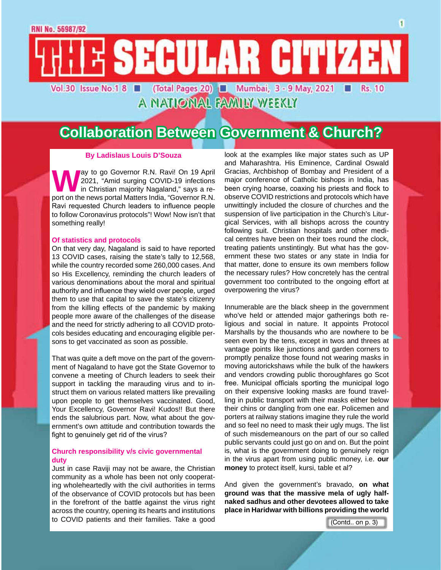## **Collaboration Between Government & Church?**

A NATIONAL FAMILY WEEKLY

E SECULAR CITIZEN

(Total Pages 20) ■ Mumbai, 3 - 9 May, 2021

#### **By Ladislaus Louis D'Souza**

Way to go Governor R.N. Ravi! On 19 April<br>2021, "Amid surging COVID-19 infections<br>port on the news portal Matters India. "Governor R.N. 2021, "Amid surging COVID-19 infections in Christian majority Nagaland," says a report on the news portal Matters India, "Governor R.N. Ravi requested Church leaders to influence people to follow Coronavirus protocols"! Wow! Now isn't that something really!

#### **Of statistics and protocols**

Vol.30 Issue No.1 8

On that very day, Nagaland is said to have reported 13 COVID cases, raising the state's tally to 12,568, while the country recorded some 260,000 cases. And so His Excellency, reminding the church leaders of various denominations about the moral and spiritual authority and influence they wield over people, urged them to use that capital to save the state's citizenry from the killing effects of the pandemic by making people more aware of the challenges of the disease and the need for strictly adhering to all COVID protocols besides educating and encouraging eligible persons to get vaccinated as soon as possible.

That was quite a deft move on the part of the government of Nagaland to have got the State Governor to convene a meeting of Church leaders to seek their support in tackling the marauding virus and to instruct them on various related matters like prevailing upon people to get themselves vaccinated. Good, Your Excellency, Governor Ravi! Kudos!! But there ends the salubrious part. Now, what about the government's own attitude and contribution towards the fight to genuinely get rid of the virus?

#### **Church responsibility v/s civic governmental duty**

Just in case Raviji may not be aware, the Christian community as a whole has been not only cooperating wholeheartedly with the civil authorities in terms of the observance of COVID protocols but has been in the forefront of the battle against the virus right across the country, opening its hearts and institutions to COVID patients and their families. Take a good (Contd.. on p. 3)

look at the examples like major states such as UP and Maharashtra. His Eminence, Cardinal Oswald Gracias, Archbishop of Bombay and President of a major conference of Catholic bishops in India, has been crying hoarse, coaxing his priests and flock to observe COVID restrictions and protocols which have unwittingly included the closure of churches and the suspension of live participation in the Church's Liturgical Services, with all bishops across the country following suit. Christian hospitals and other medical centres have been on their toes round the clock, treating patients unstintingly. But what has the government these two states or any state in India for that matter, done to ensure its own members follow the necessary rules? How concretely has the central government too contributed to the ongoing effort at overpowering the virus?

Innumerable are the black sheep in the government who've held or attended major gatherings both religious and social in nature. It appoints Protocol Marshalls by the thousands who are nowhere to be seen even by the tens, except in twos and threes at vantage points like junctions and garden corners to promptly penalize those found not wearing masks in moving autorickshaws while the bulk of the hawkers and vendors crowding public thoroughfares go Scot free. Municipal officials sporting the municipal logo on their expensive looking masks are found travelling in public transport with their masks either below their chins or dangling from one ear. Policemen and porters at railway stations imagine they rule the world and so feel no need to mask their ugly mugs. The list of such misdemeanours on the part of our so called public servants could just go on and on. But the point is, what is the government doing to genuinely reign in the virus apart from using public money, i.e. **our money** to protect itself, kursi, table et al?

And given the government's bravado, **on what ground was that the massive mela of ugly halfnaked sadhus and other devotees allowed to take place in Haridwar with billions providing the world** 

Rs. 10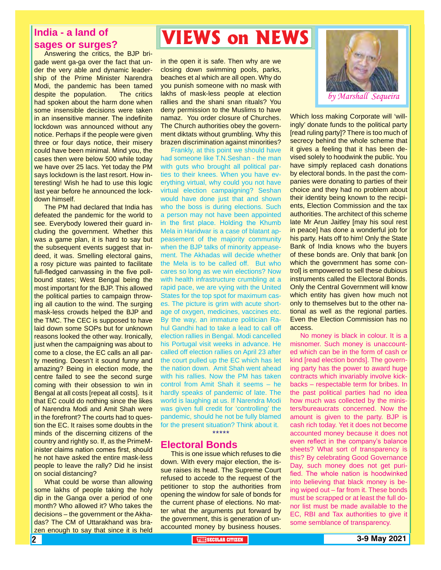### **India - a land of sages or surges?**

Answering the critics, the BJP brigade went ga-ga over the fact that under the very able and dynamic leadership of the Prime Minister Narendra Modi, the pandemic has been tamed despite the population. The critics had spoken about the harm done when some insensible decisions were taken in an insensitive manner. The indefinite lockdown was announced without any notice. Perhaps if the people were given three or four days notice, their misery could have been minimal. Mind you, the cases then were below 500 while today we have over 25 lacs. Yet today the PM says lockdown is the last resort. How interesting! Wish he had to use this logic last year before he announced the lockdown himself.

The PM had declared that India has defeated the pandemic for the world to see. Everybody lowered their guard including the government. Whether this was a game plan, it is hard to say but the subsequent events suggest that indeed, it was. Smelling electoral gains, a rosy picture was painted to facilitate full-fledged canvassing in the five pollbound states; West Bengal being the most important for the BJP. This allowed the political parties to campaign throwing all caution to the wind. The surging mask-less crowds helped the BJP and the TMC. The CEC is supposed to have laid down some SOPs but for unknown reasons looked the other way. Ironically, just when the campaigning was about to come to a close, the EC calls an all party meeting. Doesn't it sound funny and amazing? Being in election mode, the centre failed to see the second surge coming with their obsession to win in Bengal at all costs [repeat all costs]. Is it that EC could do nothing since the likes of Narendra Modi and Amit Shah were in the forefront? The courts had to question the EC. It raises some doubts in the minds of the discerning citizens of the country and rightly so. If, as the PrimeMinister claims nation comes first, should he not have asked the entire mask-less people to leave the rally? Did he insist on social distancing?

What could be worse than allowing some lakhs of people taking the holy dip in the Ganga over a period of one month? Who allowed it? Who takes the decisions – the government or the Akhadas? The CM of Uttarakhand was brazen enough to say that since it is held

## **VIEWS on NEWS**

in the open it is safe. Then why are we closing down swimming pools, parks, beaches et al which are all open. Why do you punish someone with no mask with lakhs of mask-less people at election rallies and the shani snan rituals? You deny permission to the Muslims to have namaz. You order closure of Churches. The Church authorities obey the government diktats without grumbling. Why this brazen discrimination against minorities?

Frankly, at this point we should have had someone like T.N.Seshan - the man with guts who brought all political parties to their knees. When you have everything virtual, why could you not have virtual election campaigning? Seshan would have done just that and shown who the boss is during elections. Such a person may not have been appointed in the first place. Holding the Khumb Mela in Haridwar is a case of blatant appeasement of the majority community when the BJP talks of minority appeasement. The Akhadas will decide whether the Mela is to be called off. But who cares so long as we win elections? Now with health infrastructure crumbling at a rapid pace, we are vying with the United States for the top spot for maximum cases. The picture is grim with acute shortage of oxygen, medicines, vaccines etc. By the way, an immature politician Rahul Gandhi had to take a lead to call off election rallies in Bengal. Modi cancelled his Portugal visit weeks in advance. He called off election rallies on April 23 after the court pulled up the EC which has let the nation down. Amit Shah went ahead with his rallies. Now the PM has taken control from Amit Shah it seems – he hardly speaks of pandemic of late. The world is laughing at us. If Narendra Modi was given full credit for 'controlling' the pandemic, should he not be fully blamed for the present situation? Think about it. \*\*\*\*\*

### **Electoral Bonds**

This is one issue which refuses to die down. With every major election, the issue raises its head. The Supreme Court refused to accede to the request of the petitioner to stop the authorities from opening the window for sale of bonds for the current phase of elections. No matter what the arguments put forward by the government, this is generation of unaccounted money by business houses.



Which loss making Corporate will 'willingly' donate funds to the political party [read ruling party]? There is too much of secrecy behind the whole scheme that it gives a feeling that it has been devised solely to hoodwink the public. You have simply replaced cash donations by electoral bonds. In the past the companies were donating to parties of their choice and they had no problem about their identity being known to the recipients, Election Commission and the tax authorities. The architect of this scheme late Mr Arun Jaitley [may his soul rest in peace] has done a wonderful job for his party. Hats off to him! Only the State Bank of India knows who the buyers of these bonds are. Only that bank [on which the government has some control] is empowered to sell these dubious instruments called the Electoral Bonds. Only the Central Government will know which entity has given how much not only to themselves but to the other national as well as the regional parties. Even the Election Commission has no access.

No money is black in colour. It is a misnomer. Such money is unaccounted which can be in the form of cash or kind [read election bonds]. The governing party has the power to award huge contracts which invariably involve kickbacks – respectable term for bribes. In the past political parties had no idea how much was collected by the ministers/bureaucrats concerned. Now the amount is given to the party. BJP is cash rich today. Yet it does not become accounted money because it does not even reflect in the company's balance sheets? What sort of transparency is this? By celebrating Good Governance Day, such money does not get purified. The whole nation is hoodwinked into believing that black money is being wiped out – far from it. These bonds must be scrapped or at least the full donor list must be made available to the EC, RBI and Tax authorities to give it some semblance of transparency.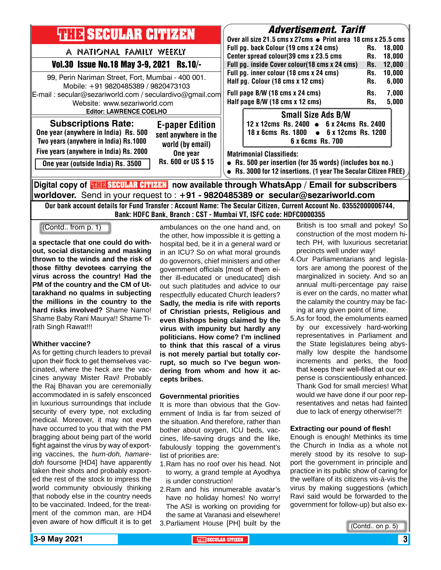| <b>THILE SECULAR CITIZEN</b>                                                                                                                                                        |                                                                    | <b>Advertisement. Tariff</b><br>Over all size 21.5 cms x 27cms ● Print area 18 cms x 25.5 cms                                                                   |                                                                                                                                      |                          |                                   |
|-------------------------------------------------------------------------------------------------------------------------------------------------------------------------------------|--------------------------------------------------------------------|-----------------------------------------------------------------------------------------------------------------------------------------------------------------|--------------------------------------------------------------------------------------------------------------------------------------|--------------------------|-----------------------------------|
| A NATIONAL FAMILY WEEKLY                                                                                                                                                            |                                                                    |                                                                                                                                                                 | Full pg. back Colour (19 cms x 24 cms)                                                                                               | Rs.<br>Rs.               | 18,000<br>18.000                  |
| Vol.30 Issue No.18 May 3-9, 2021 Rs.10/-                                                                                                                                            |                                                                    | Center spread colour(39 cms x 23.5 cms<br>Full pg. inside Cover colour(18 cms x 24 cms)                                                                         |                                                                                                                                      |                          | 12,000                            |
| 99, Perin Nariman Street, Fort, Mumbai - 400 001.<br>Mobile: +91 9820485389 / 9820473103<br>E-mail: secular@sezariworld.com / seculardivo@gmail.com<br>Website: www.sezariworld.com |                                                                    | Full pg. inner colour (18 cms x 24 cms)<br>Half pg. Colour (18 cms x 12 cms)<br>Full page B/W (18 cms x 24 cms)<br>Half page B/W (18 cms x 12 cms)              |                                                                                                                                      | Rs.<br>Rs.<br>Rs.<br>Rs. | 10,000<br>6,000<br>7,000<br>5,000 |
| <b>Editor: LAWRENCE COELHO</b><br><b>Subscriptions Rate:</b><br>One year (anywhere in India) Rs. 500<br>Two years (anywhere in India) Rs.1000                                       | <b>E-paper Edition</b><br>sent anywhere in the<br>world (by email) |                                                                                                                                                                 | <b>Small Size Ads B/W</b><br>12 x 12cms Rs. 2400 • 6 x 24cms Rs. 2400<br>18 x 6cms Rs. 1800 • 6 x 12cms Rs. 1200<br>6 x 6cms Rs. 700 |                          |                                   |
| Five years (anywhere in India) Rs. 2000<br>One year (outside India) Rs. 3500                                                                                                        | One year<br>Rs. 600 or US \$15                                     | <b>Matrimonial Classifieds:</b><br>• Rs. 500 per insertion (for 35 words) (includes box no.)<br>• Rs. 3000 for 12 insertions. (1 year The Secular Citizen FREE) |                                                                                                                                      |                          |                                   |
| ∥Digital copy of <mark>珊B SECULAR CITIZEN</mark> now available through WhatsApp / Email for subscribers                                                                             |                                                                    |                                                                                                                                                                 |                                                                                                                                      |                          |                                   |

**worldover.** Send in your request to : **+91 - 9820485389 or secular@sezariworld.com**

Our bank account details for Fund Transfer : Account Name: The Secular Citizen, Current Account No. 03552000006744, Bank: HDFC Bank, Branch : CST - Mumbai VT, ISFC code: HDFC0000355

(Contd.. from p. 1)

**a spectacle that one could do without, social distancing and masking thrown to the winds and the risk of those filthy devotees carrying the virus across the country! Had the PM of the country and the CM of Uttarakhand no qualms in subjecting the millions in the country to the hard risks involved?** Shame Namo! Shame Baby Rani Maurya!! Shame Tirath Singh Rawat!!!

#### **Whither vaccine?**

As for getting church leaders to prevail upon their flock to get themselves vaccinated, where the heck are the vaccines anyway Mister Ravi! Probably the Raj Bhavan you are ceremonially accommodated in is safely ensconced in luxurious surroundings that include security of every type, not excluding medical. Moreover, it may not even have occurred to you that with the PM bragging about being part of the world fight against the virus by way of exporting vaccines, the *hum-doh, hamaredoh* foursome [HD4] have apparently taken their shots and probably exported the rest of the stock to impress the world community obviously thinking that nobody else in the country needs to be vaccinated. Indeed, for the treatment of the common man, are HD4 even aware of how difficult it is to get

ambulances on the one hand and, on the other, how impossible it is getting a hospital bed, be it in a general ward or in an ICU? So on what moral grounds do governors, chief ministers and other government officials [most of them either ill-educated or uneducated] dish out such platitudes and advice to our respectfully educated Church leaders? **Sadly, the media is rife with reports of Christian priests, Religious and even Bishops being claimed by the virus with impunity but hardly any politicians. How come? I'm inclined to think that this rascal of a virus is not merely partial but totally corrupt, so much so I've begun wondering from whom and how it accepts bribes.**

#### **Governmental priorities**

It is more than obvious that the Government of India is far from seized of the situation. And therefore, rather than bother about oxygen, ICU beds, vaccines, life-saving drugs and the like, fabulously topping the government's list of priorities are:

- 1.Ram has no roof over his head. Not to worry, a grand temple at Ayodhya is under construction!
- 2.Ram and his innumerable avatar's have no holiday homes! No worry! The ASI is working on providing for the same at Varanasi and elsewhere!
- 3.Parliament House [PH] built by the

#### British is too small and pokey! So construction of the most modern hitech PH, with luxurious secretariat precincts well under way!

- 4.Our Parliamentarians and legislators are among the poorest of the marginalized in society. And so an annual multi-percentage pay raise is ever on the cards, no matter what the calamity the country may be facing at any given point of time.
- 5.As for food, the emoluments earned by our excessively hard-working representatives in Parliament and the State legislatures being abysmally low despite the handsome increments and perks, the food that keeps their well-filled at our expense is conscientiously enhanced. Thank God for small mercies! What would we have done if our poor representatives and netas had fainted due to lack of energy otherwise!?!

#### **Extracting our pound of flesh!**

Enough is enough! Methinks its time the Church in India as a whole not merely stood by its resolve to support the government in principle and practice in its public show of caring for the welfare of its citizens vis-à-vis the virus by making suggestions (which Ravi said would be forwarded to the government for follow-up) but also ex-

(Contd.. on p. 5)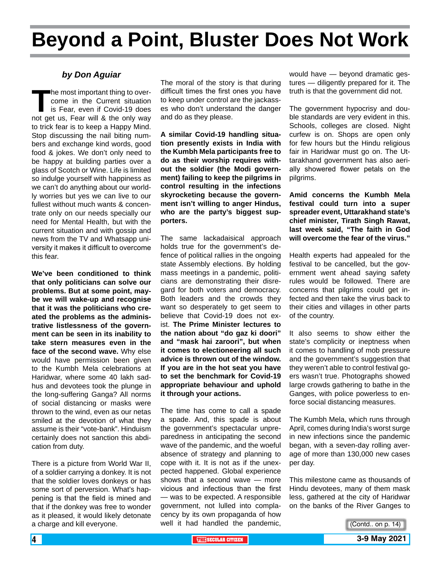## **Beyond a Point, Bluster Does Not Work**

#### *by Don Aguiar*

The most important thing to over-<br>
come in the Current situation<br>
is Fear, even if Covid-19 does<br>
not get us, Fear will & the only way come in the Current situation is Fear, even if Covid-19 does to trick fear is to keep a Happy Mind. Stop discussing the nail biting numbers and exchange kind words, good food & jokes. We don't only need to be happy at building parties over a glass of Scotch or Wine. Life is limited so indulge yourself with happiness as we can't do anything about our worldly worries but yes we can live to our fullest without much wants & concentrate only on our needs specially our need for Mental Health, but with the current situation and with gossip and news from the TV and Whatsapp university it makes it difficult to overcome this fear.

**We've been conditioned to think that only politicians can solve our problems. But at some point, maybe we will wake-up and recognise that it was the politicians who created the problems as the administrative listlessness of the government can be seen in its inability to take stern measures even in the face of the second wave.** Why else would have permission been given to the Kumbh Mela celebrations at Haridwar, where some 40 lakh sadhus and devotees took the plunge in the long-suffering Ganga? All norms of social distancing or masks were thrown to the wind, even as our netas smiled at the devotion of what they assume is their "vote-bank". Hinduism certainly does not sanction this abdication from duty.

There is a picture from World War II, of a soldier carrying a donkey. It is not that the soldier loves donkeys or has some sort of perversion. What's happening is that the field is mined and that if the donkey was free to wonder as it pleased, it would likely detonate a charge and kill everyone.

The moral of the story is that during difficult times the first ones you have to keep under control are the jackasses who don't understand the danger and do as they please.

**A similar Covid-19 handling situation presently exists in India with the Kumbh Mela participants free to do as their worship requires without the soldier (the Modi government) failing to keep the pilgrims in control resulting in the infections skyrocketing because the government isn't willing to anger Hindus, who are the party's biggest supporters.**

The same lackadaisical approach holds true for the government's defence of political rallies in the ongoing state Assembly elections. By holding mass meetings in a pandemic, politicians are demonstrating their disregard for both voters and democracy. Both leaders and the crowds they want so desperately to get seem to believe that Covid-19 does not exist. **The Prime Minister lectures to the nation about "do gaz ki doori" and "mask hai zaroori", but when it comes to electioneering all such advice is thrown out of the window. If you are in the hot seat you have to set the benchmark for Covid-19 appropriate behaviour and uphold it through your actions.**

The time has come to call a spade a spade. And, this spade is about the government's spectacular unpreparedness in anticipating the second wave of the pandemic, and the woeful absence of strategy and planning to cope with it. It is not as if the unexpected happened. Global experience shows that a second wave — more vicious and infectious than the first — was to be expected. A responsible government, not lulled into complacency by its own propaganda of how well it had handled the pandemic,

would have — beyond dramatic gestures — diligently prepared for it. The truth is that the government did not.

The government hypocrisy and double standards are very evident in this. Schools, colleges are closed. Night curfew is on. Shops are open only for few hours but the Hindu religious fair in Haridwar must go on. The Uttarakhand government has also aerially showered flower petals on the pilgrims.

**Amid concerns the Kumbh Mela festival could turn into a super spreader event, Uttarakhand state's chief minister, Tirath Singh Rawat, last week said, "The faith in God will overcome the fear of the virus."**

Health experts had appealed for the festival to be cancelled, but the government went ahead saying safety rules would be followed. There are concerns that pilgrims could get infected and then take the virus back to their cities and villages in other parts of the country.

It also seems to show either the state's complicity or ineptness when it comes to handling of mob pressure and the government's suggestion that they weren't able to control festival goers wasn't true. Photographs showed large crowds gathering to bathe in the Ganges, with police powerless to enforce social distancing measures.

The Kumbh Mela, which runs through April, comes during India's worst surge in new infections since the pandemic began, with a seven-day rolling average of more than 130,000 new cases per day.

This milestone came as thousands of Hindu devotees, many of them mask less, gathered at the city of Haridwar on the banks of the River Ganges to

(Contd.. on p. 14)

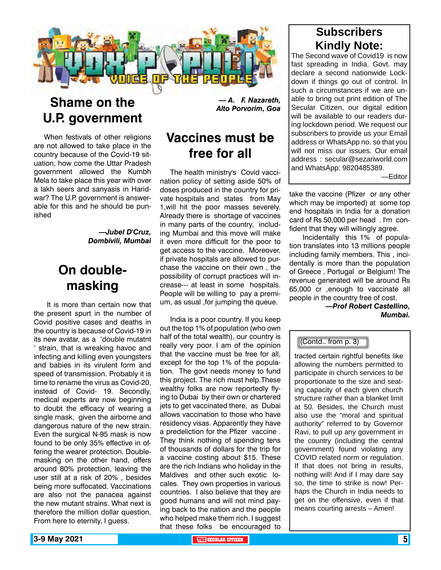

### **Shame on the U.P. government**

When festivals of other religions are not allowed to take place in the country because of the Covid-19 situation, how come the Uttar Pradesh government allowed the Kumbh Mela to take place this year with over a lakh seers and sanyasis in Haridwar? The U.P. government is answerable for this and he should be punished

> *—Jubel D'Cruz, Dombivili, Mumbai*

### **On doublemasking**

 It is more than certain now that the present spurt in the number of Covid positive cases and deaths in the country is because of Covid-19 in its new avatar, as a 'double mutatnt ' strain, that is wreaking havoc and infecting and killing even youngsters and babies in its virulent form and speed of transmission. Probably it is time to rename the virus as Covid-20, instead of Covid- 19. Secondly, medical experts are now beginning to doubt the efficacy of wearing a single mask, given the airborne and dangerous nature of the new strain. Even the surgical N-95 mask is now found to be only 35% effective in offering the wearer protection. Doublemasking on the other hand, offers around 80% protection, leaving the user still at a risk of 20% , besides being more suffocated. Vaccinations are also not the panacea against the new mutant strains. What next is therefore the million dollar question. From here to eternity, I guess.

*— A. F. Nazareth, Alto Porvorim, Goa* 

### **Vaccines must be free for all**

The health ministry's Covid vaccination policy of setting aside 50% of doses produced in the country for private hospitals and states from May 1,will hit the poor masses severely. Already there is shortage of vaccines in many parts of the country, including Mumbai and this move will make it even more difficult for the poor to get access to the vaccine. Moreover, if private hospitals are allowed to purchase the vaccine on their own , the possibility of corrupt practices will increase--- at least in some hospitals. People will be willing to pay a premium, as usual ,for jumping the queue.

India is a poor country. If you keep out the top 1% of population (who own half of the total wealth), our country is really very poor. I am of the opinion that the vaccine must be free for all, except for the top 1% of the population. The govt needs money to fund this project. The rich must help.These wealthy folks are now reportedly flying to Dubai by their own or chartered jets to get vaccinated there, as Dubai allows vaccination to those who have residency visas. Apparently they have a predeliction for the Pfizer vaccine . They think nothing of spending tens of thousands of dollars for the trip for a vaccine costing about \$15. These are the rich Indians who holiday in the Maldives and other such exotic locales. They own properties in various countries. I also believe that they are good humans and will not mind paying back to the nation and the people who helped make them rich. I suggest that these folks be encouraged to

### **Subscribers Kindly Note:**

The Second wave of Covid19 is now fast spreading in India. Govt. may declare a second nationwide Lockdown if things go out of control. In such a circumstances if we are unable to bring out print edition of The Secular Citizen, our digital edition will be available to our readers during lockdown period. We request our subscribers to provide us your Email address or WhatsApp no. so that you will not miss our issues. Our email address : secular@sezariworld.com and WhatsApp: 9820485389.

—Editor

take the vaccine (Pfizer or any other which may be imported) at some top end hospitals in India for a donation card of Rs 50,000 per head . I'm confident that they will willingly agree.

 Incidentally this 1% of population translates into 13 millions people including family members. This , incidentally is more than the population of Greece , Portugal or Belgium! The revenue generated will be around Rs 65,000 cr ,enough to vaccinate all people in the country free of cost.

> *—Prof Robert Castellino, Mumbai.*

#### (Contd.. from p. 3)

tracted certain rightful benefits like allowing the numbers permitted to participate in church services to be proportionate to the size and seating capacity of each given church structure rather than a blanket limit at 50. Besides, the Church must also use the "moral and spiritual authority" referred to by Governor Ravi, to pull up any government in the country (including the central government) found violating any COVID related norm or regulation. If that does not bring in results, nothing will! And if I may dare say so, the time to strike is now! Perhaps the Church in India needs to get on the offensive, even if that means courting arrests – Amen!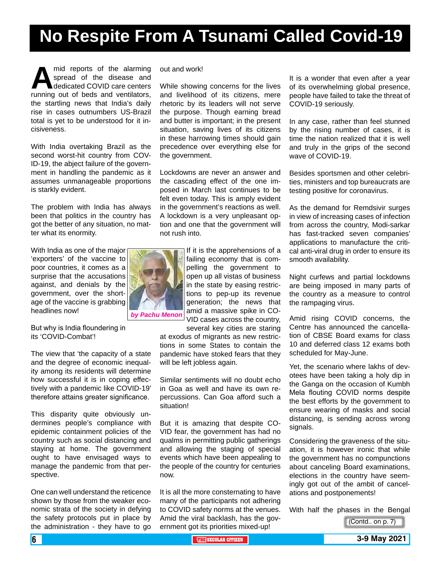## **No Respite From A Tsunami Called Covid-19**

mid reports of the alarming<br>
spread of the disease and<br>
running out of beds and ventilators, spread of the disease and dedicated COVID care centers the startling news that India's daily rise in cases outnumbers US-Brazil total is yet to be understood for it incisiveness.

With India overtaking Brazil as the second worst-hit country from COV-ID-19, the abject failure of the government in handling the pandemic as it assumes unmanageable proportions is starkly evident.

The problem with India has always been that politics in the country has got the better of any situation, no matter what its enormity.

With India as one of the major 'exporters' of the vaccine to poor countries, it comes as a surprise that the accusations against, and denials by the government, over the shortage of the vaccine is grabbing headlines now!

But why is India floundering in its 'COVID-Combat'!

The view that 'the capacity of a state and the degree of economic inequality among its residents will determine how successful it is in coping effectively with a pandemic like COVID-19' therefore attains greater significance.

This disparity quite obviously undermines people's compliance with epidemic containment policies of the country such as social distancing and staying at home. The government ought to have envisaged ways to manage the pandemic from that perspective.

One can well understand the reticence shown by those from the weaker economic strata of the society in defying the safety protocols put in place by the administration - they have to go

out and work!

While showing concerns for the lives and livelihood of its citizens, mere rhetoric by its leaders will not serve the purpose. Though earning bread and butter is important; in the present situation, saving lives of its citizens in these harrowing times should gain precedence over everything else for the government.

Lockdowns are never an answer and the cascading effect of the one imposed in March last continues to be felt even today. This is amply evident in the government's reactions as well. A lockdown is a very unpleasant option and one that the government will not rush into.



If it is the apprehensions of a failing economy that is compelling the government to open up all vistas of business in the state by easing restrictions to pep-up its revenue generation; the news that amid a massive spike in CO-VID cases across the country,

several key cities are staring at exodus of migrants as new restrictions in some States to contain the pandemic have stoked fears that they will be left jobless again.

Similar sentiments will no doubt echo in Goa as well and have its own repercussions. Can Goa afford such a situation!

But it is amazing that despite CO-VID fear, the government has had no qualms in permitting public gatherings and allowing the staging of special events which have been appealing to the people of the country for centuries now.

It is all the more consternating to have many of the participants not adhering to COVID safety norms at the venues. Amid the viral backlash, has the government got its priorities mixed-up!

It is a wonder that even after a year of its overwhelming global presence, people have failed to take the threat of COVID-19 seriously.

In any case, rather than feel stunned by the rising number of cases, it is time the nation realized that it is well and truly in the grips of the second wave of COVID-19.

Besides sportsmen and other celebrities, ministers and top bureaucrats are testing positive for coronavirus.

As the demand for Remdsivir surges in view of increasing cases of infection from across the country, Modi-sarkar has fast-tracked seven companies' applications to manufacture the critical anti-viral drug in order to ensure its smooth availability.

Night curfews and partial lockdowns are being imposed in many parts of the country as a measure to control the rampaging virus.

Amid rising COVID concerns, the Centre has announced the cancellation of CBSE Board exams for class 10 and deferred class 12 exams both scheduled for May-June.

Yet, the scenario where lakhs of devotees have been taking a holy dip in the Ganga on the occasion of Kumbh Mela flouting COVID norms despite the best efforts by the government to ensure wearing of masks and social distancing, is sending across wrong signals.

Considering the graveness of the situation, it is however ironic that while the government has no compunctions about canceling Board examinations, elections in the country have seemingly got out of the ambit of cancelations and postponements!

With half the phases in the Bengal

(Contd.. on p. 7)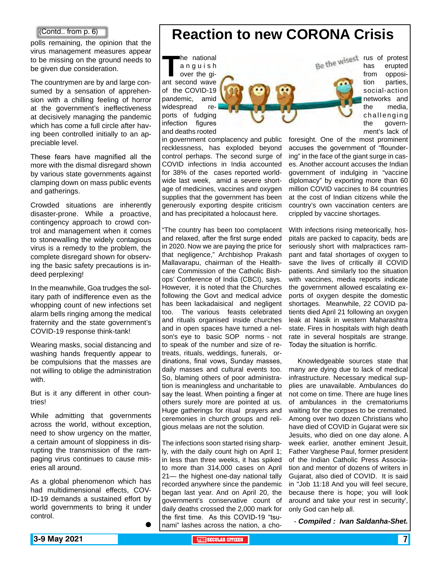polls remaining, the opinion that the virus management measures appear to be missing on the ground needs to be given due consideration.

The countrymen are by and large consumed by a sensation of apprehension with a chilling feeling of horror at the government's ineffectiveness at decisively managing the pandemic which has come a full circle after having been controlled initially to an appreciable level.

These fears have magnified all the more with the dismal disregard shown by various state governments against clamping down on mass public events and gatherings.

Crowded situations are inherently disaster-prone. While a proactive, contingency approach to crowd control and management when it comes to stonewalling the widely contagious virus is a remedy to the problem, the complete disregard shown for observing the basic safety precautions is indeed perplexing!

In the meanwhile, Goa trudges the solitary path of indifference even as the whopping count of new infections set alarm bells ringing among the medical fraternity and the state government's COVID-19 response think-tank!

Wearing masks, social distancing and washing hands frequently appear to be compulsions that the masses are not willing to oblige the administration with.

But is it any different in other countries!

While admitting that governments across the world, without exception, need to show urgency on the matter, a certain amount of sloppiness in disrupting the transmission of the rampaging virus continues to cause miseries all around.

As a global phenomenon which has had multidimensional effects, COV-ID-19 demands a sustained effort by world governments to bring it under control.

 $\bullet$ 

### **Contd.. from p. 6) Reaction to new CORONA Crisis**

**The national**<br>
anguish<br>
over the gi-<br>
ant second wave a n g u i s h over the giof the COVID-19 pandemic, amid widespread reports of fudging infection figures and deaths rooted

in government complacency and public recklessness, has exploded beyond control perhaps. The second surge of COVID infections in India accounted for 38% of the cases reported worldwide last week, amid a severe shortage of medicines, vaccines and oxygen supplies that the government has been generously exporting despite criticism and has precipitated a holocaust here.

"The country has been too complacent and relaxed, after the first surge ended in 2020. Now we are paying the price for that negligence," Archbishop Prakash Mallavarapu, chairman of the Healthcare Commission of the Catholic Bishops' Conference of India (CBCI), says. However, it is noted that the Churches following the Govt and medical advice has been lackadaisical and negligent too. The various feasts celebrated and rituals organised inside churches and in open spaces have turned a nelson's eye to basic SOP norms - not to speak of the number and size of retreats, rituals, weddings, funerals, ordinations, final vows, Sunday masses, daily masses and cultural events too. So, blaming others of poor administration is meaningless and uncharitable to say the least. When pointing a finger at others surely more are pointed at us. Huge gatherings for ritual prayers and ceremonies in church groups and religious melaas are not the solution.

The infections soon started rising sharply, with the daily count high on April 1; in less than three weeks, it has spiked to more than 314,000 cases on April 21— the highest one-day national tally recorded anywhere since the pandemic began last year. And on April 20, the government's conservative count of daily deaths crossed the 2,000 mark for the first time. As this COVID-19 "tsunami" lashes across the nation, a chorus of protest

has erupted from opposition parties, social-action networks and the media, challenging the government's lack of

foresight. One of the most prominent accuses the government of "floundering" in the face of the giant surge in cases. Another account accuses the Indian government of indulging in "vaccine diplomacy" by exporting more than 60 million COVID vaccines to 84 countries at the cost of Indian citizens while the country's own vaccination centers are crippled by vaccine shortages.

With infections rising meteorically, hospitals are packed to capacity, beds are seriously short with malpractices rampant and fatal shortages of oxygen to save the lives of critically ill COVID patients. And similarly too the situation with vaccines, media reports indicate the government allowed escalating exports of oxygen despite the domestic shortages. Meanwhile, 22 COVID patients died April 21 following an oxygen leak at Nasik in western Maharashtra state. Fires in hospitals with high death rate in several hospitals are strange. Today the situation is horrific.

 Knowledgeable sources state that many are dying due to lack of medical infrastructure. Necessary medical supplies are unavailable. Ambulances do not come on time. There are huge lines of ambulances in the crematoriums waiting for the corpses to be cremated. Among over two dozen Christians who have died of COVID in Gujarat were six Jesuits, who died on one day alone. A week earlier, another eminent Jesuit, Father Varghese Paul, former president of the Indian Catholic Press Association and mentor of dozens of writers in Gujarat, also died of COVID. It is said in "Job 11:18 And you will feel secure, because there is hope; you will look around and take your rest in security', only God can help all.

- *Compiled : Ivan Saldanha-Shet.*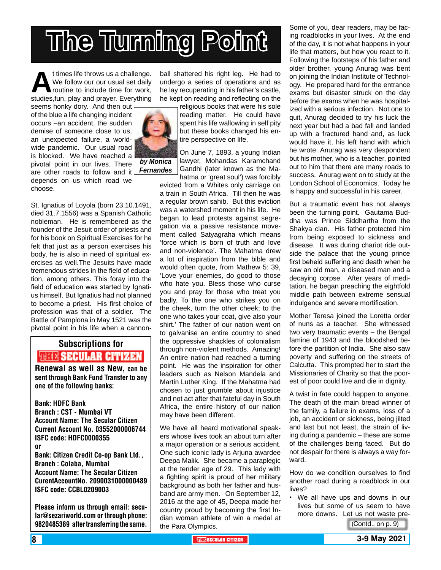# **The Turning Point**

t times life throws us a challenge.<br>We follow our our usual set daily<br>routine to include time for work,<br>studies.fun. play and prayer. Everything We follow our our usual set daily routine to include time for work, studies,fun, play and prayer. Everything

seems honky dory. And then out of the blue a life changing incident occurs –an accident, the sudden demise of someone close to us, an unexpected failure, a worldwide pandemic. Our usual road is blocked. We have reached a pivotal point in our lives. There are other roads to follow and it

depends on us which road we choose.

St. Ignatius of Loyola (born 23.10.1491, died 31.7.1556) was a Spanish Catholic nobleman. He is remembered as the founder of the Jesuit order of priests and for his book on Spiritual Exercises for he felt that just as a person exercises his body, he is also in need of spiritual exercises as well.The Jesuits have made tremendous strides in the field of education, among others. This foray into the field of education was started by Ignatius himself. But Ignatius had not planned to become a priest. His first choice of profession was that of a soldier. The Battle of Pamplona in May 1521 was the pivotal point in his life when a cannon-

## Subscriptions for **RENEW SECULAR CITIZEN**<br>Renewal as well as New, can be

sent through Bank Fund Transfer to any one of the following banks:

Bank: HDFC Bank Branch : CST - Mumbai VT Account Name: The Secular Citizen Current Account No. 03552000006744 ISFC code: HDFC0000355 or Bank: Citizen Credit Co-op Bank Ltd., Branch : Colaba, Mumbai Account Name: The Secular Citizen CurentAccountNo. 2090031000000489 ISFC code: CCBL0209003

Please inform us through email: secular@sezariworld.com or through phone: 9820485389 after transferring the same.

ball shattered his right leg. He had to undergo a series of operations and as he lay recuperating in his father's castle, he kept on reading and reflecting on the

*by Monica* 

*Fernandes*

religious books that were his sole reading matter. He could have spent his life wallowing in self pity but these books changed his entire perspective on life.

On June 7, 1893, a young Indian lawyer, Mohandas Karamchand Gandhi (later known as the Mahatma or 'great soul') was forcibly

evicted from a Whites only carriage on a train in South Africa. Till then he was a regular brown sahib. But this eviction was a watershed moment in his life. He began to lead protests against segregation via a passive resistance movement called Satyagraha which means 'force which is born of truth and love and non-violence'. The Mahatma drew a lot of inspiration from the bible and would often quote, from Mathew 5: 39, 'Love your enemies, do good to those who hate you. Bless those who curse you and pray for those who treat you badly. To the one who strikes you on the cheek, turn the other cheek; to the one who takes your coat, give also your shirt.' The father of our nation went on to galvanise an entire country to shed the oppressive shackles of colonialism through non-violent methods. Amazing! An entire nation had reached a turning point. He was the inspiration for other leaders such as Nelson Mandela and Martin Luther King. If the Mahatma had chosen to just grumble about injustice and not act after that fateful day in South Africa, the entire history of our nation may have been different.

We have all heard motivational speakers whose lives took an about turn after a major operation or a serious accident. One such iconic lady is Arjuna awardee Deepa Malik. She became a paraplegic at the tender age of 29. This lady with a fighting spirit is proud of her military background as both her father and husband are army men. On September 12, 2016 at the age of 45, Deepa made her country proud by becoming the first Indian woman athlete of win a medal at the Para Olympics.

Some of you, dear readers, may be facing roadblocks in your lives. At the end of the day, it is not what happens in your life that matters, but how you react to it. Following the footsteps of his father and older brother, young Anurag was bent on joining the Indian Institute of Technology. He prepared hard for the entrance exams but disaster struck on the day before the exams when he was hospitalized with a serious infection. Not one to quit, Anurag decided to try his luck the next year but had a bad fall and landed up with a fractured hand and, as luck would have it, his left hand with which he wrote. Anurag was very despondent but his mother, who is a teacher, pointed out to him that there are many roads to success. Anurag went on to study at the London School of Economics. Today he is happy and successful in his career.

But a traumatic event has not always been the turning point. Gautama Buddha was Prince Siddhartha from the Shakya clan. His father protected him from being exposed to sickness and disease. It was during chariot ride outside the palace that the young prince first beheld suffering and death when he saw an old man, a diseased man and a decaying corpse. After years of meditation, he began preaching the eightfold middle path between extreme sensual indulgence and severe mortification.

Mother Teresa joined the Loretta order of nuns as a teacher. She witnessed two very traumatic events – the Bengal famine of 1943 and the bloodshed before the partition of India. She also saw poverty and suffering on the streets of Calcutta. This prompted her to start the Missionaries of Charity so that the poorest of poor could live and die in dignity.

A twist in fate could happen to anyone. The death of the main bread winner of the family, a failure in exams, loss of a job, an accident or sickness, being jilted and last but not least, the strain of living during a pandemic – these are some of the challenges being faced. But do not despair for there is always a way forward.

How do we condition ourselves to find another road during a roadblock in our lives?

• We all have ups and downs in our lives but some of us seem to have more downs. Let us not waste pre-

(Contd.. on p. 9)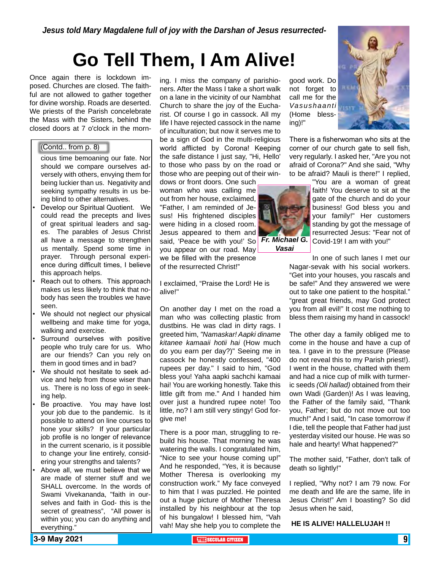## **Go Tell Them, I Am Alive!**

Once again there is lockdown imposed. Churches are closed. The faithful are not allowed to gather together for divine worship. Roads are deserted. We priests of the Parish concelebrate the Mass with the Sisters, behind the closed doors at 7 o'clock in the morn-

#### (Contd.. from p. 8)

- cious time bemoaning our fate. Nor should we compare ourselves adversely with others, envying them for being luckier than us. Negativity and seeking sympathy results in us being blind to other alternatives.
- Develop our Spiritual Quotient. We could read the precepts and lives of great spiritual leaders and sages. The parables of Jesus Christ all have a message to strengthen us mentally. Spend some time in prayer. Through personal experience during difficult times, I believe this approach helps.
- Reach out to others. This approach makes us less likely to think that nobody has seen the troubles we have seen.
- We should not neglect our physical wellbeing and make time for yoga, walking and exercise.
- Surround ourselves with positive people who truly care for us. Who are our friends? Can you rely on them in good times and in bad?
- We should not hesitate to seek advice and help from those wiser than us. There is no loss of ego in seeking help.
- Be proactive. You may have lost your job due to the pandemic. Is it possible to attend on line courses to hone your skills? If your particular job profile is no longer of relevance in the current scenario, is it possible to change your line entirely, considering your strengths and talents?
- Above all, we must believe that we are made of sterner stuff and we SHALL overcome. In the words of Swami Vivekananda, "faith in ourselves and faith in God- this is the secret of greatness", "All power is within you; you can do anything and everything."

ing. I miss the company of parishioners. After the Mass I take a short walk on a lane in the vicinity of our Nambhat Church to share the joy of the Eucharist. Of course I go in cassock. All my life I have rejected cassock in the name of inculturation; but now it serves me to be a sign of God in the multi-religious world afflicted by Corona! Keeping the safe distance I just say, "Hi, Hello' to those who pass by on the road or those who are peeping out of their win-

dows or front doors. One such woman who was calling me out from her house, exclaimed, "Father, I am reminded of Jesus! His frightened disciples were hiding in a closed room. Jesus appeared to them and said, 'Peace be with you!' So **Fr. Michael G.** you appear on our road. May we be filled with the presence of the resurrected Christ!"

I exclaimed, "Praise the Lord! He is alive!"

On another day I met on the road a man who was collecting plastic from dustbins. He was clad in dirty rags. I greeted him, *"Namaskar! Aapki diname kitanee kamaaii hotii hai* (How much do you earn per day?)" Seeing me in cassock he honestly confessed, "400 rupees per day." I said to him, "God bless you! Yaha aapki sachchi kamaai hai! You are working honestly. Take this little gift from me." And I handed him over just a hundred rupee note! Too little, no? I am still very stingy! God forgive me!

There is a poor man, struggling to rebuild his house. That morning he was watering the walls. I congratulated him, "Nice to see your house coming up!" And he responded, "Yes, it is because Mother Theresa is overlooking my construction work." My face conveyed to him that I was puzzled. He pointed out a huge picture of Mother Theresa installed by his neighbour at the top of his bungalow! I blessed him, "Vah vah! May she help you to complete the good work. Do not forget to call me for the *Vasushaanti*  (Home blessing)!"

There is a fisherwoman who sits at the corner of our church gate to sell fish, very regularly. I asked her, "Are you not afraid of Corona?" And she said, "Why to be afraid? Mauli is there!" I replied,



*Vasai*

"You are a woman of great faith! You deserve to sit at the gate of the church and do your business! God bless you and your family!" Her customers standing by got the message of resurrected Jesus: "Fear not of Covid-19! I am with you!"

In one of such lanes I met our Nagar-sevak with his social workers. "Get into your houses, you rascals and be safe!" And they answered we were out to take one patient to the hospital." "great great friends, may God protect you from all evil!" It cost me nothing to bless them raising my hand in cassock!

The other day a family obliged me to come in the house and have a cup of tea. I gave in to the pressure (Please do not reveal this to my Parish priest!). I went in the house, chatted with them and had a nice cup of milk with turmeric seeds *(Oli hallad)* obtained from their own Wadi (Garden)! As I was leaving, the Father of the family said, "Thank you, Father; but do not move out too much!" And I said, "In case tomorrow if I die, tell the people that Father had just yesterday visited our house. He was so hale and hearty! What happened?"

The mother said, "Father, don't talk of death so lightly!"

I replied, "Why not? I am 79 now. For me death and life are the same, life in Jesus Christ!" Am I boasting? So did Jesus when he said,

**HE IS ALIVE! HALLELUJAH !!**

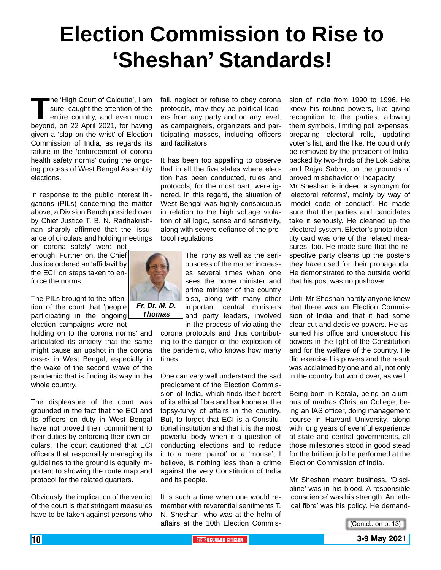## **Election Commission to Rise to 'Sheshan' Standards!**

**The 'High Court of Calcutta', I am<br>sure, caught the attention of the<br>entire country, and even much<br>bevond. on 22 April 2021, for having** sure, caught the attention of the entire country, and even much beyond, on 22 April 2021, for having given a 'slap on the wrist' of Election Commission of India, as regards its failure in the 'enforcement of corona health safety norms' during the ongoing process of West Bengal Assembly elections.

In response to the public interest litigations (PILs) concerning the matter above, a Division Bench presided over by Chief Justice T. B. N. Radhakrishnan sharply affirmed that the 'issuance of circulars and holding meetings

on corona safety' were not enough. Further on, the Chief Justice ordered an 'affidavit by the ECI' on steps taken to enforce the norms.

The PILs brought to the attention of the court that 'people participating in the ongoing election campaigns were not

holding on to the corona norms' and articulated its anxiety that the same might cause an upshot in the corona cases in West Bengal, especially in the wake of the second wave of the pandemic that is finding its way in the whole country.

The displeasure of the court was grounded in the fact that the ECI and its officers on duty in West Bengal have not proved their commitment to their duties by enforcing their own circulars. The court cautioned that ECI officers that responsibly managing its guidelines to the ground is equally important to showing the route map and protocol for the related quarters.

Obviously, the implication of the verdict of the court is that stringent measures have to be taken against persons who

fail, neglect or refuse to obey corona protocols, may they be political leaders from any party and on any level, as campaigners, organizers and participating masses, including officers and facilitators.

It has been too appalling to observe that in all the five states where election has been conducted, rules and protocols, for the most part, were ignored. In this regard, the situation of West Bengal was highly conspicuous in relation to the high voltage violation of all logic, sense and sensitivity, along with severe defiance of the protocol regulations.



sees the home minister and prime minister of the country also, along with many other important central ministers and party leaders, involved

in the process of violating the corona protocols and thus contributing to the danger of the explosion of the pandemic, who knows how many times.

One can very well understand the sad predicament of the Election Commission of India, which finds itself bereft of its ethical fibre and backbone at the topsy-turvy of affairs in the country. But, to forget that ECI is a Constitutional institution and that it is the most powerful body when it a question of conducting elections and to reduce it to a mere 'parrot' or a 'mouse', I believe, is nothing less than a crime against the very Constitution of India and its people.

It is such a time when one would remember with reverential sentiments T. N. Sheshan, who was at the helm of affairs at the 10th Election Commission of India from 1990 to 1996. He knew his routine powers, like giving recognition to the parties, allowing them symbols, limiting poll expenses, preparing electoral rolls, updating voter's list, and the like. He could only be removed by the president of India, backed by two-thirds of the Lok Sabha and Rajya Sabha, on the grounds of proved misbehavior or incapacity.

Mr Sheshan is indeed a synonym for 'electoral reforms', mainly by way of 'model code of conduct'. He made sure that the parties and candidates take it seriously. He cleaned up the electoral system. Elector's photo identity card was one of the related measures, too. He made sure that the respective party cleans up the posters they have used for their propaganda. He demonstrated to the outside world that his post was no pushover.

Until Mr Sheshan hardly anyone knew that there was an Election Commission of India and that it had some clear-cut and decisive powers. He assumed his office and understood his powers in the light of the Constitution and for the welfare of the country. He did exercise his powers and the result was acclaimed by one and all, not only in the country but world over, as well.

Being born in Kerala, being an alumnus of madras Christian College, being an IAS officer, doing management course in Harvard University, along with long years of eventful experience at state and central governments, all those milestones stood in good stead for the brilliant job he performed at the Election Commission of India.

Mr Sheshan meant business. 'Discipline' was in his blood. A responsible 'conscience' was his strength. An 'ethical fibre' was his policy. He demand-

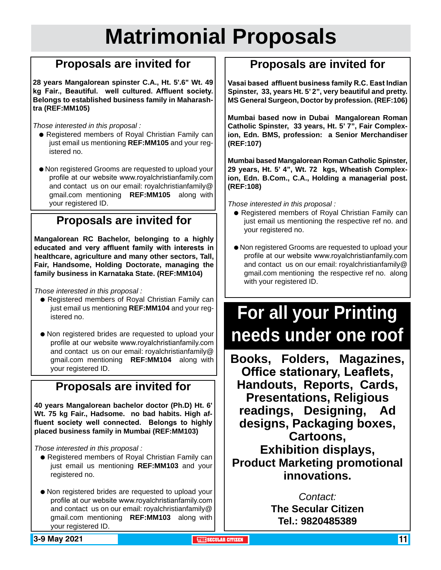## **Matrimonial Proposals**

### **Proposals are invited for**

**28 years Mangalorean spinster C.A., Ht. 5'.6" Wt. 49 kg Fair., Beautiful. well cultured. Affluent society. Belongs to established business family in Maharashtra (REF:MM105)**

*Those interested in this proposal :*

- **e** Registered members of Royal Christian Family can just email us mentioning **REF:MM105** and your registered no.
- Non registered Grooms are requested to upload your profile at our website www.royalchristianfamily.com and contact us on our email: royalchristianfamily@ gmail.com mentioning **REF:MM105** along with your registered ID.

### **Proposals are invited for**

**Mangalorean RC Bachelor, belonging to a highly educated and very affluent family with interests in healthcare, agriculture and many other sectors, Tall, Fair, Handsome, Holding Doctorate, managing the family business in Karnataka State. (REF:MM104)**

*Those interested in this proposal :*

- Registered members of Royal Christian Family can just email us mentioning **REF:MM104** and your registered no.
- Non registered brides are requested to upload your profile at our website www.royalchristianfamily.com and contact us on our email: royalchristianfamily@ gmail.com mentioning **REF:MM104** along with your registered ID.

### **Proposals are invited for**

**40 years Mangalorean bachelor doctor (Ph.D) Ht. 6' Wt. 75 kg Fair., Hadsome. no bad habits. High affluent society well connected. Belongs to highly placed business family in Mumbai (REF:MM103)**

*Those interested in this proposal :*

- Registered members of Royal Christian Family can just email us mentioning **REF:MM103** and your registered no.
- $\bullet$  Non registered brides are requested to upload your profile at our website www.royalchristianfamily.com and contact us on our email: royalchristianfamily@ gmail.com mentioning **REF:MM103** along with your registered ID.

### **Proposals are invited for**

**Vasai based affluent business family R.C. East Indian Spinster, 33, years Ht. 5' 2", very beautiful and pretty. MS General Surgeon, Doctor by profession. (REF:106)**

**Mumbai based now in Dubai Mangalorean Roman Catholic Spinster, 33 years, Ht. 5' 7", Fair Complexion, Edn. BMS, profession: a Senior Merchandiser (REF:107)**

**Mumbai based Mangalorean Roman Catholic Spinster, 29 years, Ht. 5' 4", Wt. 72 kgs, Wheatish Complexion, Edn. B.Com., C.A., Holding a managerial post. (REF:108)** 

*Those interested in this proposal :*

- Registered members of Royal Christian Family can just email us mentioning the respective ref no. and your registered no.
- $\bullet$  Non registered Grooms are requested to upload your profile at our website www.royalchristianfamily.com and contact us on our email: royalchristianfamily@ gmail.com mentioning the respective ref no. along with your registered ID.

## **For all your Printing needs under one roof**

**Books, Folders, Magazines, Office stationary, Leaflets, Handouts, Reports, Cards, Presentations, Religious readings, Designing, Ad designs, Packaging boxes, Cartoons, Exhibition displays, Product Marketing promotional innovations.**

> *Contact:* **The Secular Citizen Tel.: 9820485389**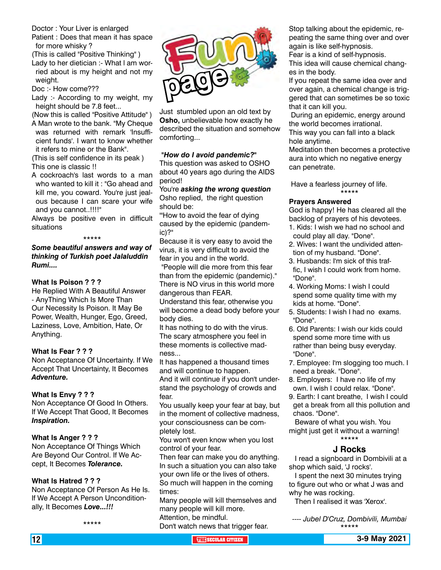Doctor : Your Liver is enlarged

Patient : Does that mean it has space for more whisky ?

(This is called "Positive Thinking" )

Lady to her dietician :- What l am worried about is my height and not my weight.

Doc :- How come???

Lady :- According to my weight, my height should be 7.8 feet...

(Now this is called "Positive Attitude" ) A Man wrote to the bank. "My Cheque was returned with remark 'Insufficient funds'. I want to know whether

it refers to mine or the Bank".

(This is self confidence in its peak ) This one is classic !!

A cockroach's last words to a man who wanted to kill it : "Go ahead and kill me, you coward. You're just jealous because I can scare your wife and you cannot..!!!!"

Always be positive even in difficult situations

#### \*\*\*\*\*

#### *Some beautiful answers and way of thinking of Turkish poet Jalaluddin Rumi....*

#### **What Is Poison ? ? ?**

He Replied With A Beautiful Answer - AnyThing Which Is More Than Our Necessity Is Poison. It May Be Power, Wealth, Hunger, Ego, Greed, Laziness, Love, Ambition, Hate, Or Anything.

#### **What Is Fear ? ? ?**

Non Acceptance Of Uncertainty. If We Accept That Uncertainty, It Becomes *Adventure.*

#### **What Is Envy ? ? ?**

Non Acceptance Of Good In Others. If We Accept That Good, It Becomes *Inspiration.*

#### **What Is Anger ? ? ?**

Non Acceptance Of Things Which Are Beyond Our Control. If We Accept, It Becomes *Tolerance.*

#### **What Is Hatred ? ? ?**

Non Acceptance Of Person As He Is. If We Accept A Person Unconditionally, It Becomes *Love...!!!*

\*\*\*\*\*



Just stumbled upon an old text by **Osho,** unbelievable how exactly he described the situation and somehow comforting...

#### **"***How do I avoid pandemic?"*

This question was asked to OSHO about 40 years ago during the AIDS period!

You're *asking the wrong question* Osho replied, the right question should be:

'"How to avoid the fear of dying caused by the epidemic (pandemic)?"

Because it is very easy to avoid the virus, it is very difficult to avoid the fear in you and in the world.

 "People will die more from this fear than from the epidemic (pandemic)." There is NO virus in this world more dangerous than FEAR.

Understand this fear, otherwise you will become a dead body before your body dies.

It has nothing to do with the virus. The scary atmosphere you feel in these moments is collective madness...

It has happened a thousand times and will continue to happen. And it will continue if you don't understand the psychology of crowds and fear.

You usually keep your fear at bay, but in the moment of collective madness, your consciousness can be completely lost.

You won't even know when you lost control of your fear.

Then fear can make you do anything. In such a situation you can also take your own life or the lives of others. So much will happen in the coming times:

Many people will kill themselves and many people will kill more. Attention, be mindful.

Don't watch news that trigger fear.

Stop talking about the epidemic, repeating the same thing over and over again is like self-hypnosis.

Fear is a kind of self-hypnosis.

This idea will cause chemical changes in the body.

If you repeat the same idea over and over again, a chemical change is triggered that can sometimes be so toxic that it can kill you.

 During an epidemic, energy around the world becomes irrational. This way you can fall into a black

hole anytime.

Meditation then becomes a protective aura into which no negative energy can penetrate.

 Have a fearless journey of life. \*\*\*\*\*

#### **Prayers Answered**

God is happy! He has cleared all the backlog of prayers of his devotees.

- 1. Kids: I wish we had no school and could play all day. "Done".
- 2. Wives: I want the undivided attention of my husband. "Done".
- 3. Husbands: I'm sick of this traffic, I wish I could work from home. "Done".
- 4. Working Moms: I wish I could spend some quality time with my kids at home. "Done".
- 5. Students: I wish I had no exams. "Done".
- 6. Old Parents: I wish our kids could spend some more time with us rather than being busy everyday. "Done".
- 7. Employee: I'm slogging too much. I need a break. "Done".
- 8. Employers: I have no life of my own. I wish I could relax. "Done".
- 9. Earth: I cant breathe, I wish I could get a break from all this pollution and chaos. "Done".

 Beware of what you wish. You might just get it without a warning! \*\*\*\*\*

#### **J Rocks**

 I read a signboard in Dombivili at a shop which said, 'J rocks'.

 I spent the next 30 minutes trying to figure out who or what J was and why he was rocking.

Then I realised it was 'Xerox'.

*---- Jubel D'Cruz, Dombivili, Mumbai* \*\*\*\*\*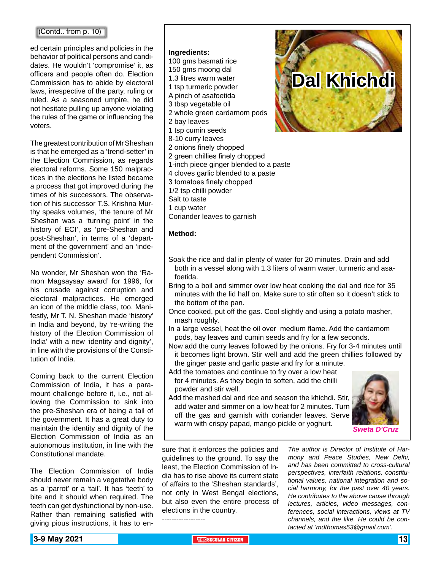#### (Contd.. from p. 10)

ed certain principles and policies in the behavior of political persons and candidates. He wouldn't 'compromise' it, as officers and people often do. Election Commission has to abide by electoral laws, irrespective of the party, ruling or ruled. As a seasoned umpire, he did not hesitate pulling up anyone violating the rules of the game or influencing the voters.

The greatest contribution of Mr Sheshan is that he emerged as a 'trend-setter' in the Election Commission, as regards electoral reforms. Some 150 malpractices in the elections he listed became a process that got improved during the times of his successors. The observation of his successor T.S. Krishna Murthy speaks volumes, 'the tenure of Mr Sheshan was a 'turning point' in the history of ECI', as 'pre-Sheshan and post-Sheshan', in terms of a 'department of the government' and an 'independent Commission'.

No wonder, Mr Sheshan won the 'Ramon Magsaysay award' for 1996, for his crusade against corruption and electoral malpractices. He emerged an icon of the middle class, too. Manifestly, Mr T. N. Sheshan made 'history' in India and beyond, by 're-writing the history of the Election Commission of India' with a new 'identity and dignity', in line with the provisions of the Constitution of India.

Coming back to the current Election Commission of India, it has a paramount challenge before it, i.e., not allowing the Commission to sink into the pre-Sheshan era of being a tail of the government. It has a great duty to maintain the identity and dignity of the Election Commission of India as an autonomous institution, in line with the Constitutional mandate.

The Election Commission of India should never remain a vegetative body as a 'parrot' or a 'tail'. It has 'teeth' to bite and it should when required. The teeth can get dysfunctional by non-use. Rather than remaining satisfied with giving pious instructions, it has to en-

#### **Ingredients:**

- 100 gms basmati rice
- 150 gms moong dal
- 1.3 litres warm water
- 1 tsp turmeric powder
- A pinch of asafoetida
- 3 tbsp vegetable oil
- 2 whole green cardamom pods
- 2 bay leaves
- 1 tsp cumin seeds
- 8-10 curry leaves
- 2 onions finely chopped
- 2 green chillies finely chopped
- 1-inch piece ginger blended to a paste
- 4 cloves garlic blended to a paste
- 3 tomatoes finely chopped
- 1/2 tsp chilli powder
- Salt to taste
- 1 cup water
- Coriander leaves to garnish

#### **Method:**

- Soak the rice and dal in plenty of water for 20 minutes. Drain and add both in a vessel along with 1.3 liters of warm water, turmeric and asafoetida.
- Bring to a boil and simmer over low heat cooking the dal and rice for 35 minutes with the lid half on. Make sure to stir often so it doesn't stick to the bottom of the pan.
- Once cooked, put off the gas. Cool slightly and using a potato masher, mash roughly.
- In a large vessel, heat the oil over medium flame. Add the cardamom pods, bay leaves and cumin seeds and fry for a few seconds.
- Now add the curry leaves followed by the onions. Fry for 3-4 minutes until it becomes light brown. Stir well and add the green chillies followed by the ginger paste and garlic paste and fry for a minute.
- Add the tomatoes and continue to fry over a low heat for 4 minutes. As they begin to soften, add the chilli powder and stir well.
- Add the mashed dal and rice and season the khichdi. Stir, add water and simmer on a low heat for 2 minutes. Turn off the gas and garnish with coriander leaves. Serve warm with crispy papad, mango pickle or yoghurt. *Sweta D'Cruz*



sure that it enforces the policies and guidelines to the ground. To say the least, the Election Commission of India has to rise above its current state of affairs to the 'Sheshan standards', not only in West Bengal elections, but also even the entire process of elections in the country.

------------------

*The author is Director of Institute of Harmony and Peace Studies, New Delhi, and has been committed to cross-cultural perspectives, interfaith relations, constitutional values, national integration and social harmony, for the past over 40 years. He contributes to the above cause through lectures, articles, video messages, conferences, social interactions, views at TV channels, and the like. He could be contacted at 'mdthomas53@gmail.com'.*

**Dal Khichdi**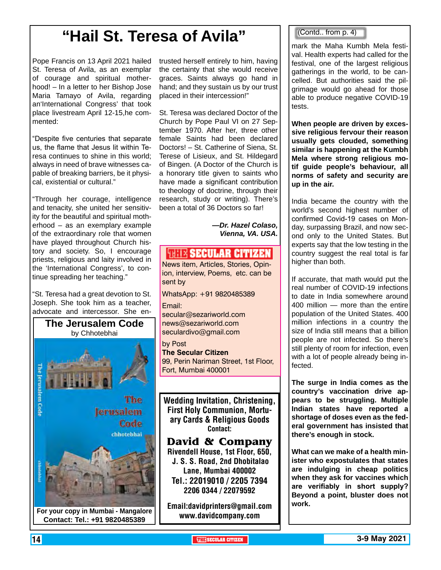## **"Hail St. Teresa of Avila"**

Pope Francis on 13 April 2021 hailed St. Teresa of Avila, as an exemplar of courage and spiritual motherhood! – In a letter to her Bishop Jose Maria Tamayo of Avila, regarding an'International Congress' that took place livestream April 12-15,he commented:

"Despite five centuries that separate us, the flame that Jesus lit within Teresa continues to shine in this world; always in need of brave witnesses capable of breaking barriers, be it physical, existential or cultural."

"Through her courage, intelligence and tenacity, she united her sensitivity for the beautiful and spiritual motherhood – as an exemplary example of the extraordinary role that women have played throughout Church history and society. So, I encourage priests, religious and laity involved in the 'International Congress', to continue spreading her teaching."

"St. Teresa had a great devotion to St. Joseph. She took him as a teacher, advocate and intercessor. She en-



trusted herself entirely to him, having the certainty that she would receive graces. Saints always go hand in hand; and they sustain us by our trust placed in their intercession!"

St. Teresa was declared Doctor of the Church by Pope Paul VI on 27 September 1970. After her, three other female Saints had been declared Doctors! – St. Catherine of Siena, St. Terese of Lisieux, and St. Hildegard of Bingen. (A Doctor of the Church is a honorary title given to saints who have made a significant contribution to theology of doctrine, through their research, study or writing). There's been a total of 36 Doctors so far!

> *—Dr. Hazel Colaso, Vienna, VA. USA.*

### *SHITE SECULAR CITIZEN*

News item, Articles, Stories, Opinion, interview, Poems, etc. can be sent by

WhatsApp: +91 9820485389

Email:

secular@sezariworld.com news@sezariworld.com seculardivo@gmail.com

by Post **The Secular Citizen** 99, Perin Nariman Street, 1st Floor, Fort, Mumbai 400001

Wedding Invitation, Christening, First Holy Communion, Mortuary Cards & Religious Goods Contact:

**David & Company** Rivendell House, 1st Floor, 650, J. S. S. Road, 2nd Dhobitalao Lane, Mumbai 400002 Tel.: 22019010 / 2205 7394 2206 0344 / 22079592

Email:davidprinters@gmail.com www.davidcompany.com

#### (Contd.. from p. 4)

mark the Maha Kumbh Mela festival. Health experts had called for the festival, one of the largest religious gatherings in the world, to be cancelled. But authorities said the pilgrimage would go ahead for those able to produce negative COVID-19 tests.

**When people are driven by excessive religious fervour their reason usually gets clouded, something similar is happening at the Kumbh Mela where strong religious motif guide people's behaviour, all norms of safety and security are up in the air.**

India became the country with the world's second highest number of confirmed Covid-19 cases on Monday, surpassing Brazil, and now second only to the United States. But experts say that the low testing in the country suggest the real total is far higher than both.

If accurate, that math would put the real number of COVID-19 infections to date in India somewhere around 400 million — more than the entire population of the United States. 400 million infections in a country the size of India still means that a billion people are not infected. So there's still plenty of room for infection, even with a lot of people already being infected.

**The surge in India comes as the country's vaccination drive appears to be struggling. Multiple Indian states have reported a shortage of doses even as the federal government has insisted that there's enough in stock.**

**What can we make of a health minister who expostulates that states are indulging in cheap politics when they ask for vaccines which are verifiably in short supply? Beyond a point, bluster does not work.**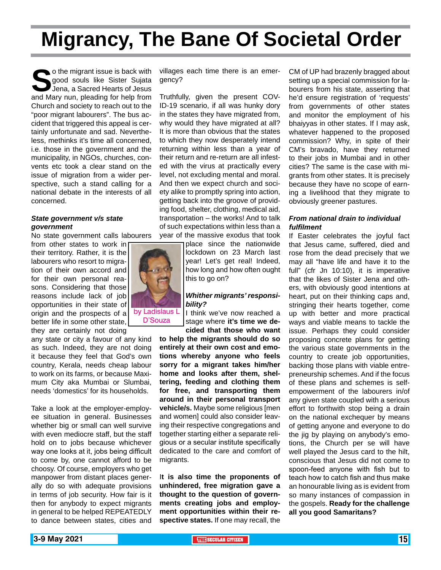## **Migrancy, The Bane Of Societal Order**

o the migrant issue is back with<br>good souls like Sister Sujata<br>Jena, a Sacred Hearts of Jesus<br>and Mary nun, pleading for help from good souls like Sister Sujata Jena, a Sacred Hearts of Jesus Church and society to reach out to the "poor migrant labourers". The bus accident that triggered this appeal is certainly unfortunate and sad. Nevertheless, methinks it's time all concerned, i.e. those in the government and the municipality, in NGOs, churches, convents etc took a clear stand on the issue of migration from a wider perspective, such a stand calling for a national debate in the interests of all concerned.

#### *State government v/s state government*

No state government calls labourers

from other states to work in their territory. Rather, it is the labourers who resort to migration of their own accord and for their own personal reasons. Considering that those reasons include lack of job opportunities in their state of origin and the prospects of a better life in some other state, they are certainly not doing

any state or city a favour of any kind as such. Indeed, they are not doing it because they feel that God's own country, Kerala, needs cheap labour to work on its farms, or because Maximum City aka Mumbai or Slumbai, needs 'domestics' for its households.

Take a look at the employer-employee situation in general. Businesses whether big or small can well survive with even mediocre staff, but the staff hold on to jobs because whichever way one looks at it, jobs being difficult to come by, one cannot afford to be choosy. Of course, employers who get manpower from distant places generally do so with adequate provisions in terms of job security. How fair is it then for anybody to expect migrants in general to be helped REPEATEDLY to dance between states, cities and

villages each time there is an emergency?

Truthfully, given the present COV-ID-19 scenario, if all was hunky dory in the states they have migrated from, why would they have migrated at all? It is more than obvious that the states to which they now desperately intend returning within less than a year of their return and re-return are all infested with the virus at practically every level, not excluding mental and moral. And then we expect church and society alike to promptly spring into action, getting back into the groove of providing food, shelter, clothing, medical aid, transportation – the works! And to talk of such expectations within less than a year of the massive exodus that took

> place since the nationwide lockdown on 23 March last year! Let's get real! Indeed, how long and how often ought this to go on?

#### *Whither migrants' responsibility?*

I think we've now reached a stage where **it's time we decided that those who want** 

**to help the migrants should do so entirely at their own cost and emotions whereby anyone who feels sorry for a migrant takes him/her home and looks after them, sheltering, feeding and clothing them for free, and transporting them around in their personal transport vehicle/s.** Maybe some religious [men and women] could also consider leaving their respective congregations and together starting either a separate religious or a secular institute specifically dedicated to the care and comfort of migrants.

I**t is also time the proponents of unhindered, free migration gave a thought to the question of governments creating jobs and employment opportunities within their respective states.** If one may recall, the

CM of UP had brazenly bragged about setting up a special commission for labourers from his state, asserting that he'd ensure registration of 'requests' from governments of other states and monitor the employment of his bhaiyyas in other states. If I may ask, whatever happened to the proposed commission? Why, in spite of their CM's bravado, have they returned to their jobs in Mumbai and in other cities? The same is the case with migrants from other states. It is precisely because they have no scope of earning a livelihood that they migrate to obviously greener pastures.

#### *From national drain to individual fulfilment*

If Easter celebrates the joyful fact that Jesus came, suffered, died and rose from the dead precisely that we may all "have life and have it to the full" (cfr Jn 10:10), it is imperative that the likes of Sister Jena and others, with obviously good intentions at heart, put on their thinking caps and, stringing their hearts together, come up with better and more practical ways and viable means to tackle the issue. Perhaps they could consider proposing concrete plans for getting the various state governments in the country to create job opportunities, backing those plans with viable entrepreneurship schemes. And if the focus of these plans and schemes is selfempowerment of the labourers in/of any given state coupled with a serious effort to forthwith stop being a drain on the national exchequer by means of getting anyone and everyone to do the jig by playing on anybody's emotions, the Church per se will have well played the Jesus card to the hilt, conscious that Jesus did not come to spoon-feed anyone with fish but to teach how to catch fish and thus make an honourable living as is evident from so many instances of compassion in the gospels. **Ready for the challenge all you good Samaritans?**

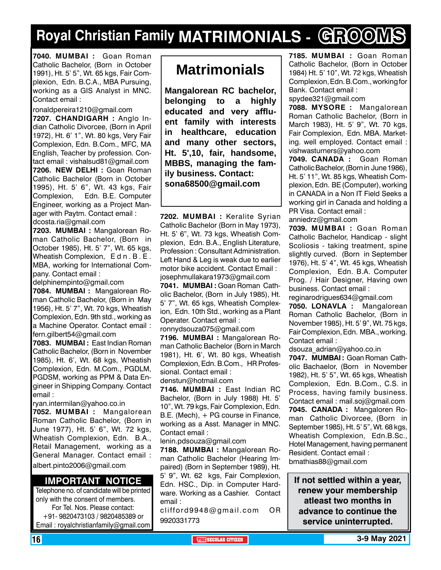## **Royal Christian Family MATRIMONIALS - GROOMS**

**7040. MUMBAI :** Goan Roman Catholic Bachelor, (Born in October 1991), Ht. 5' 5", Wt. 65 kgs, Fair Complexion, Edn. B.C.A., MBA Pursuing, working as a GIS Analyst in MNC. Contact email :

ronaldpereira1210@gmail.com **7207. Chandigarh :** Anglo Indian Catholic Divorcee, (Born in April 1972), Ht. 6' 1", Wt. 80 kgs, Very Fair Complexion, Edn. B.Com., MFC, MA English, Teacher by profession. Contact email : vishalsud81@gmail.com **7206. new delhi :** Goan Roman Catholic Bachelor (Born in October 1995), Ht. 5' 6", Wt. 43 kgs, Fair Complexion, Edn. B.E. Computer Engineer, working as a Project Manager with Paytm. Contact email : dcosta.ria@gmail.com

**7203. MUMBAI :** Mangalorean Roman Catholic Bachelor, (Born in October 1985), Ht. 5' 7", Wt. 65 kgs, Wheatish Complexion, E d n . B . E . MBA, working for International Company. Contact email :

delphinempinto@gmail.com

**7084. MUMBAI :** Mangalorean Roman Catholic Bachelor, (Born in May 1956), Ht. 5' 7", Wt. 70 kgs, Wheatish Complexion, Edn. 9th std., working as a Machine Operator. Contact email : fern.gilbert54@gmail.com

**7083. MUMBAI :** East Indian Roman Catholic Bachelor, (Born in November 1985), Ht. 6', Wt. 68 kgs, Wheatish Complexion, Edn. M.Com., PGDLM, PGDSM, working as PPM & Data Engineer in Shipping Company. Contact email :

ryan.intermilan@yahoo.co.in

**7052. MUMBAI :** Mangalorean Roman Catholic Bachelor, (Born in June 1977), Ht. 5' 6", Wt. 72 kgs, Wheatish Complexion, Edn. B.A., Retail Management, working as a General Manager. Contact email : albert.pinto2006@gmail.com

#### **Important Notice**

Telephone no. of candidate will be printed only with the consent of members. For Tel. Nos. Please contact: +91- 9820473103 / 9820485389 or Email : royalchristianfamily@gmail.com

## **Matrimonials**

**Mangalorean RC bachelor, belonging to a highly educated and very affluent family with interests in healthcare, education and many other sectors, Ht. 5',10, fair, handsome, MBBS, managing the family business. Contact: sona68500@gmail.com**

**7202. MUMBAI :** Keralite Syrian Catholic Bachelor (Born in May 1973), Ht. 5' 6", Wt. 73 kgs, Wheatish Complexion, Edn. B.A., English Literature, Profession : Consultant Administration. Left Hand & Leg is weak due to earlier motor bike accident. Contact Email : josephmullakara1973@gmail.com

**7041. MUMBAI :** Goan Roman Catholic Bachelor, (Born in July 1985), Ht. 5' 7", Wt. 65 kgs, Wheatish Complexion, Edn. 10th Std., working as a Plant Operater. Contact email : ronnydsouza075@gmail.com

**7196. MUMBAI :** Mangalorean Roman Catholic Bachelor (Born in March 1981), Ht. 6', Wt. 80 kgs, Wheatish Complexion, Edn. B.Com., HR Professional. Contact email :

denstun@hotmail.com

**7146. MUMBAI :** East Indian RC Bachelor, (Born in July 1988) Ht. 5' 10", Wt. 79 kgs, Fair Complexion, Edn. B.E. (Mech), + PG course in Finance, working as a Asst. Manager in MNC. Contact email :

lenin.pdsouza@gmail.com

**7188. MUMBAI :** Mangalorean Roman Catholic Bachelor (Hearing Impaired) (Born in September 1989), Ht. 5' 9", Wt. 62 kgs, Fair Complexion, Edn. HSC., Dip. in Computer Hardware. Working as a Cashier. Contact email :

clifford9948@gmail.com OR 9920331773

**7185. MUMBAI :** Goan Roman Catholic Bachelor, (Born in October 1984) Ht. 5' 10", Wt. 72 kgs, Wheatish Complexion, Edn. B.Com., working for Bank. Contact email :

spydee321@gmail.com

**7088. MYSORE :** Mangalorean Roman Catholic Bachelor, (Born in March 1983), Ht. 5' 9", Wt. 70 kgs, Fair Complexion, Edn. MBA. Marketing. well employed. Contact email : vishwasturners@yahoo.com

**7049. CANADA :** Goan Roman Catholic Bachelor, (Born in June 1986), Ht. 5' 11", Wt. 85 kgs, Wheatish Complexion, Edn. BE (Computer), working in CANADA in a Non IT Field Seeks a working girl in Canada and holding a PR Visa. Contact email :

anniedrz@gmail.com

**7039. MUMBAI :** Goan Roman Catholic Bachelor, Handicap - slight Scoliosis - taking treatment, spine slightly curved. (Born in September 1976), Ht. 5' 4", Wt. 45 kgs, Wheatish Complexion, Edn. B.A. Computer Prog. / Hair Designer, Having own business. Contact email :

reginarodrigues634@gmail.com **7050. LONAVLA :** Mangalorean Roman Catholic Bachelor, (Born in November 1985), Ht. 5' 9", Wt. 75 kgs, Fair Complexion, Edn. MBA., working. Contact email :

dsouza\_adrian@yahoo.co.in

**7047. MUMBAI :** Goan Roman Catholic Bachaelor, (Born in November 1982), Ht. 5' 5", Wt. 65 kgs, Wheatish Complexion, Edn. B.Com., C.S. in Process, having family business. Contact email : mail.soj@gmail.com **7045. CANADA :** Mangaloren Roman Catholic Divorcee, (Born in September 1985), Ht. 5' 5", Wt. 68 kgs, Wheatish Complexion, Edn.B.Sc., Hotel Management, having permanent Resident. Contact email : bmathias88@gmail.com

**If not settled within a year, renew your membership atleast two months in advance to continue the service uninterrupted.**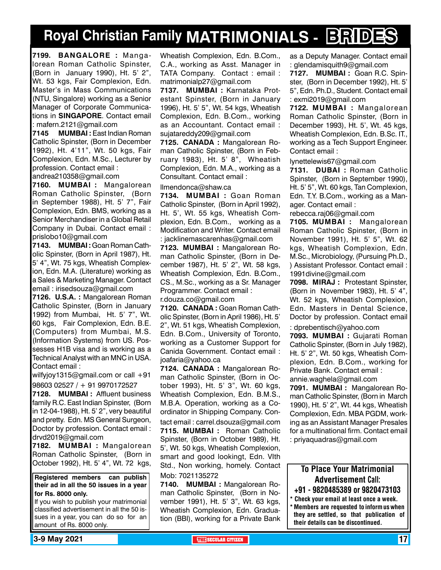## **Royal Christian Family MATRIMONIALS - BRIDES**

**7199. BANGALORE :** Mangalorean Roman Catholic Spinster, (Born in January 1990), Ht. 5' 2", Wt. 53 kgs, Fair Complexion, Edn. Master's in Mass Communications (NTU, Singalore) working as a Senior Manager of Corporate Communications in **SINGAPORE**. Contact email : mafern.2121@gmail.com

**7145 MUMBAI :** East Indian Roman Catholic Spinster, (Born in December 1992), Ht. 4'11", Wt. 50 kgs, Fair Complexion, Edn. M.Sc., Lecturer by profession. Contact email : andrea210358@gmail.com

**7160. MUMBAI :** Mangalorean Roman Catholic Spinster, (Born in September 1988), Ht. 5' 7", Fair Complexion, Edn. BMS, working as a Senior Merchandiser in a Global Retail Company in Dubai. Contact email : prislobo10@gmail.com

**7143. MUMBAI :** Goan Roman Catholic Spinster, (Born in April 1987), Ht. 5' 4", Wt. 75 kgs, Wheatish Complexion, Edn. M.A. (Literature) working as a Sales & Marketing Manager. Contact email : irisedsouza@gmail.com

**7126. U.S.A. :** Mangalorean Roman Catholic Spinster, (Born in January 1992) from Mumbai, Ht. 5' 7", Wt. 60 kgs, Fair Complexion, Edn. B.E. (Computers) from Mumbai, M.S. (Information Systems) from US. Possesses H1B visa and is working as a Technical Analyst with an MNC in USA. Contact email :

wilfyjoy1315@gmail.com or call +91 98603 02527 / + 91 9970172527

**7128. MUMBAI :** Affluent business family R.C. East Indian Spinster, (Born in 12-04-1988), Ht. 5' 2", very beautiful and pretty. Edn. MS General Surgeon, Doctor by profession. Contact email : drvd2019@gmail.com

**7182. MUMBAI :** Mangalorean Roman Catholic Spinster, (Born in October 1992), Ht. 5' 4", Wt. 72 kgs,

**Registered members can publish their ad in all the 50 issues in a year for Rs. 8000 only.**

If you wish to publish your matrimonial classified advertisement in all the 50 issues in a year, you can do so for an amount of Rs. 8000 only.

Wheatish Complexion, Edn. B.Com., C.A., working as Asst. Manager in TATA Company. Contact : email : matrimonialp27@gmail.com

**7137. MUMBAI :** Karnataka Protestant Spinster, (Born in January 1996), Ht. 5' 5", Wt. 54 kgs, Wheatish Complexion, Edn. B.Com., working as an Accountant. Contact email : sujatareddy209@gmail.com

**7125. CANADA :** Mangalorean Roman Catholic Spinster, (Born in February 1983), Ht. 5' 8", Wheatish Complexion, Edn. M.A., working as a Consultant. Contact email :

llmendonca@shaw.ca

**7134. MUMBAI :** Goan Roman Catholic Spinster, (Born in April 1992), Ht. 5', Wt. 55 kgs, Wheatish Complexion, Edn. B.Com., working as a Modification and Writer. Contact email : jacklinemascarenhas@gmail.com

**7123. MUMBAI :** Mangalorean Roman Catholic Spinster, (Born in December 1987), Ht. 5' 2", Wt. 58 kgs, Wheatish Complexion, Edn. B.Com., CS., M.Sc., working as a Sr. Manager Programmer. Contact email : r.douza.co@gmail.com

**7120. CANADA :** Goan Roman Catholic Spinster, (Born in April 1986), Ht. 5' 2", Wt. 51 kgs, Wheatish Complexion, Edn. B.Com., University of Toronto, working as a Customer Support for Canida Government. Contact email : joafaria@yahoo.ca

**7124. CANADA :** Mangalorean Roman Catholic Spinster, (Born in October 1993), Ht. 5' 3", Wt. 60 kgs, Wheatish Complexion, Edn. B.M.S., M.B.A. Operation, working as a Coordinator in Shipping Company. Con-

tact email : carrel.dsouza@gmail.com **7115. MUMBAI :** Roman Catholic Spinster, (Born in October 1989), Ht. 5', Wt. 50 kgs, Wheatish Complexion, smart and good lookingt, Edn. VIth Std., Non working, homely. Contact Mob: 7021135272

**7140. MUMBAI :** Mangalorean Roman Catholic Spinster, (Born in November 1991), Ht. 5' 3", Wt. 63 kgs, Wheatish Complexion, Edn. Graduation (BBI), working for a Private Bank as a Deputy Manager. Contact email : glendamisquith9@gmail.com

**7127. MUMBAI :** Goan R.C. Spinster, (Born in December 1992), Ht. 5' 5", Edn. Ph.D., Student. Contact email : exmi2019@gmail.com

**7122. MUMBAI :** Mangalorean Roman Catholic Spinster, (Born in December 1993), Ht. 5', Wt. 45 kgs, Wheatish Complexion, Edn. B.Sc. IT., working as a Tech Support Engineer. Contact email :

lynettelewis67@gmail.com

**7131. DUBAI :** Roman Catholic Spinster, (Born in September 1990), Ht. 5' 5", Wt. 60 kgs, Tan Complexion, Edn. T.Y. B.Com., working as a Manager. Contact email :

rebecca.raj06@gmail.com

**7105. MUMBAI :** Mangalorean Roman Catholic Spinster, (Born in November 1991), Ht. 5' 5", Wt. 62 kgs, Wheatish Complexion, Edn. M.Sc., Microbiology, (Pursuing Ph.D., ) Assistant Professor. Contact email : 1991divine@gmail.com

**7098. MIRAJ :** Protestant Spinster, (Born in November 1983), Ht. 5' 4", Wt. 52 kgs, Wheatish Complexion, Edn. Masters in Dental Science, Doctor by profession. Contact email

: dprebentisch@yahoo.com

**7093. MUMBAI :** Gujarati Roman Catholic Spinster, (Born in July 1982), Ht. 5' 2", Wt. 50 kgs, Wheatish Complexion, Edn. B.Com., working for Private Bank. Contact email : annie.waghela@gmail.com

**7091. MUMBAI :** Mangalorean Roman Catholic Spinster, (Born in March 1990), Ht. 5' 2", Wt. 44 kgs, Wheatish Complexion, Edn. MBA PGDM, working as an Assistant Manager Presales for a multinational firm. Contact email : priyaquadras@gmail.com

To Place Your Matrimonial Advertisement Call: +91 - 9820485389 or 9820473103 \* Check your email at least once a week. Members are requested to inform us when they are settled, so that publication of their details can be discontinued.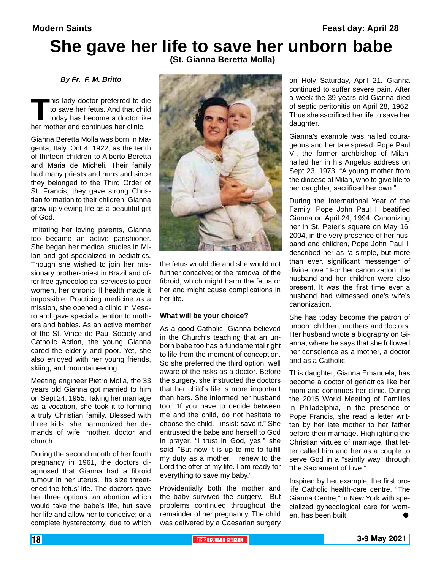## **She gave her life to save her unborn babe**

 **(St. Gianna Beretta Molla)**

*By Fr. F. M. Britto*

This lady doctor preferred to die<br>to save her fetus. And that child<br>today has become a doctor like<br>her mother and continues her clinic. to save her fetus. And that child today has become a doctor like

Gianna Beretta Molla was born in Magenta, Italy, Oct 4, 1922, as the tenth of thirteen children to Alberto Beretta and Maria de Micheli. Their family had many priests and nuns and since they belonged to the Third Order of St. Francis, they gave strong Christian formation to their children. Gianna grew up viewing life as a beautiful gift of God.

Imitating her loving parents, Gianna too became an active parishioner. She began her medical studies in Milan and got specialized in pediatrics. Though she wished to join her missionary brother-priest in Brazil and offer free gynecological services to poor women, her chronic ill health made it impossible. Practicing medicine as a mission, she opened a clinic in Mesero and gave special attention to mothers and babies. As an active member of the St. Vince de Paul Society and Catholic Action, the young Gianna cared the elderly and poor. Yet, she also enjoyed with her young friends, skiing, and mountaineering.

Meeting engineer Pietro Molla, the 33 years old Gianna got married to him on Sept 24, 1955. Taking her marriage as a vocation, she took it to forming a truly Christian family. Blessed with three kids, she harmonized her demands of wife, mother, doctor and church.

During the second month of her fourth pregnancy in 1961, the doctors diagnosed that Gianna had a fibroid tumour in her uterus. Its size threatened the fetus' life. The doctors gave her three options: an abortion which would take the babe's life, but save her life and allow her to conceive; or a complete hysterectomy, due to which



the fetus would die and she would not further conceive; or the removal of the fibroid, which might harm the fetus or her and might cause complications in her life.

#### **What will be your choice?**

As a good Catholic, Gianna believed in the Church's teaching that an unborn babe too has a fundamental right to life from the moment of conception. So she preferred the third option, well aware of the risks as a doctor. Before the surgery, she instructed the doctors that her child's life is more important than hers. She informed her husband too, "If you have to decide between me and the child, do not hesitate to choose the child. I insist: save it." She entrusted the babe and herself to God in prayer. "I trust in God, yes," she said. "But now it is up to me to fulfill my duty as a mother. I renew to the Lord the offer of my life. I am ready for everything to save my baby."

Providentially both the mother and the baby survived the surgery. But problems continued throughout the remainder of her pregnancy. The child was delivered by a Caesarian surgery on Holy Saturday, April 21. Gianna continued to suffer severe pain. After a week the 39 years old Gianna died of septic peritonitis on April 28, 1962. Thus she sacrificed her life to save her daughter.

Gianna's example was hailed courageous and her tale spread. Pope Paul VI, the former archbishop of Milan, hailed her in his Angelus address on Sept 23, 1973, "A young mother from the diocese of Milan, who to give life to her daughter, sacrificed her own."

During the International Year of the Family, Pope John Paul II beatified Gianna on April 24, 1994. Canonizing her in St. Peter's square on May 16, 2004, in the very presence of her husband and children, Pope John Paul II described her as "a simple, but more than ever, significant messenger of divine love." For her canonization, the husband and her children were also present. It was the first time ever a husband had witnessed one's wife's canonization.

She has today become the patron of unborn children, mothers and doctors. Her husband wrote a biography on Gianna, where he says that she followed her conscience as a mother, a doctor and as a Catholic.

This daughter, Gianna Emanuela, has become a doctor of geriatrics like her mom and continues her clinic. During the 2015 World Meeting of Families in Philadelphia, in the presence of Pope Francis, she read a letter written by her late mother to her father before their marriage. Highlighting the Christian virtues of marriage, that letter called him and her as a couple to serve God in a "saintly way" through "the Sacrament of love."

Inspired by her example, the first prolife Catholic health-care centre, "The Gianna Centre," in New York with specialized gynecological care for women, has been built.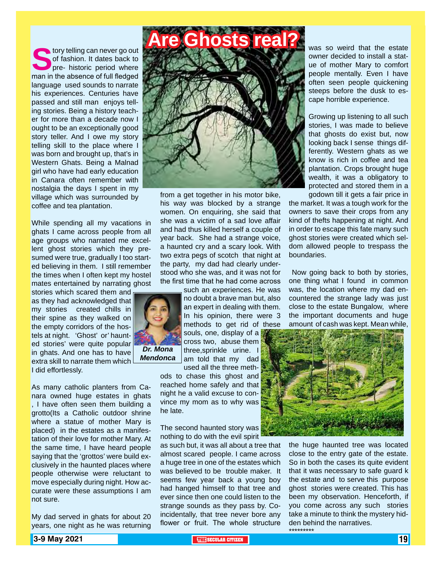**S**tory telling can never go out of fashion. It dates back to pre- historic period where man in the absence of full fledged language used sounds to narrate his experiences. Centuries have passed and still man enjoys telling stories. Being a history teacher for more than a decade now I ought to be an exceptionally good story teller. And I owe my story telling skill to the place where I was born and brought up, that's in Western Ghats. Being a Malnad girl who have had early education in Canara often remember with nostalgia the days I spent in my village which was surrounded by coffee and tea plantation.

While spending all my vacations in ghats I came across people from all age groups who narrated me excellent ghost stories which they presumed were true, gradually I too started believing in them. I still remember the times when I often kept my hostel mates entertained by narrating ghost

stories which scared them and as they had acknowledged that my stories created chills in their spine as they walked on the empty corridors of the hostels at night. 'Ghost' or' haunted stories' were quite popular in ghats. And one has to have extra skill to narrate them which I did effortlessly.

As many catholic planters from Canara owned huge estates in ghats , I have often seen them building a grotto(Its a Catholic outdoor shrine where a statue of mother Mary is placed) in the estates as a manifestation of their love for mother Mary. At the same time, I have heard people saying that the 'grottos' were build exclusively in the haunted places where people otherwise were reluctant to move especially during night. How accurate were these assumptions I am not sure.

My dad served in ghats for about 20 years, one night as he was returning



from a get together in his motor bike, his way was blocked by a strange women. On enquiring, she said that she was a victim of a sad love affair and had thus killed herself a couple of year back. She had a strange voice, a haunted cry and a scary look. With two extra pegs of scotch that night at the party, my dad had clearly understood who she was, and it was not for the first time that he had come across

such an experiences. He was no doubt a brave man but, also an expert in dealing with them. In his opinion, there were 3 methods to get rid of these souls, one, display of a cross two, abuse them three,sprinkle urine. I am told that my dad

> used all the three methods to chase this ghost and reached home safely and that night he a valid excuse to convince my mom as to why was he late.

> The second haunted story was nothing to do with the evil spirit

as such but, it was all about a tree that almost scared people. I came across a huge tree in one of the estates which was believed to be trouble maker. It seems few year back a young boy had hanged himself to that tree and ever since then one could listen to the strange sounds as they pass by. Coincidentally, that tree never bore any flower or fruit. The whole structure

was so weird that the estate owner decided to install a statue of mother Mary to comfort people mentally. Even I have often seen people quickening steeps before the dusk to escape horrible experience.

Growing up listening to all such stories, I was made to believe that ghosts do exist but, now looking back I sense things differently. Western ghats as we know is rich in coffee and tea plantation. Crops brought huge wealth, it was a obligatory to protected and stored them in a godown till it gets a fair price in

the market. It was a tough work for the owners to save their crops from any kind of thefts happening at night. And in order to escape this fate many such ghost stories were created which seldom allowed people to trespass the boundaries.

 Now going back to both by stories, one thing what I found in common was, the location where my dad encountered the strange lady was just close to the estate Bungalow, where the important documents and huge amount of cash was kept. Mean while,



the huge haunted tree was located close to the entry gate of the estate. So in both the cases its quite evident that it was necessary to safe guard k the estate and to serve this purpose ghost stories were created. This has been my observation. Henceforth, if you come across any such stories take a minute to think the mystery hidden behind the narratives. \*\*\*\*\*\*\*\*\*